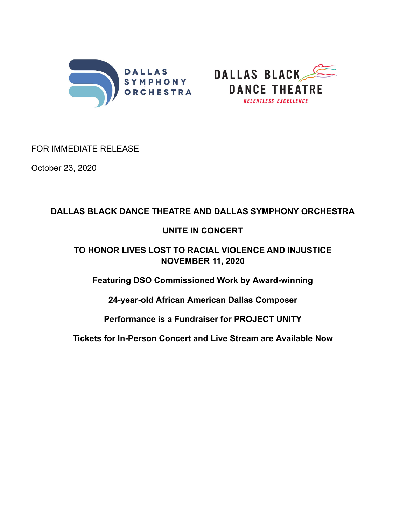



## FOR IMMEDIATE RELEASE

October 23, 2020

# **DALLAS BLACK DANCE THEATRE AND DALLAS SYMPHONY ORCHESTRA**

# **UNITE IN CONCERT**

**TO HONOR LIVES LOST TO RACIAL VIOLENCE AND INJUSTICE NOVEMBER 11, 2020**

**Featuring DSO Commissioned Work by Award-winning**

**24-year-old African American Dallas Composer**

**Performance is a Fundraiser for PROJECT UNITY**

**Tickets for In-Person Concert and Live Stream are Available Now**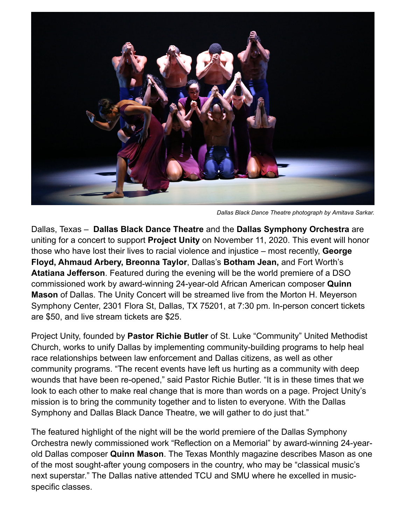

*Dallas Black Dance Theatre photograph by Amitava Sarkar.*

Dallas, Texas – **Dallas Black Dance Theatre** and the **Dallas Symphony Orchestra** are uniting for a concert to support **Project Unity** on November 11, 2020. This event will honor those who have lost their lives to racial violence and injustice – most recently, **George Floyd, Ahmaud Arbery, Breonna Taylor**, Dallas's **Botham Jean,** and Fort Worth's **Atatiana Jefferson**. Featured during the evening will be the world premiere of a DSO commissioned work by award-winning 24-year-old African American composer **Quinn Mason** of Dallas. The Unity Concert will be streamed live from the Morton H. Meyerson Symphony Center, 2301 Flora St, Dallas, TX 75201, at 7:30 pm. In-person concert tickets are \$50, and live stream tickets are \$25.

Project Unity, founded by **Pastor Richie Butler** of St. Luke "Community" United Methodist Church, works to unify Dallas by implementing community-building programs to help heal race relationships between law enforcement and Dallas citizens, as well as other community programs. "The recent events have left us hurting as a community with deep wounds that have been re-opened," said Pastor Richie Butler. "It is in these times that we look to each other to make real change that is more than words on a page. Project Unity's mission is to bring the community together and to listen to everyone. With the Dallas Symphony and Dallas Black Dance Theatre, we will gather to do just that."

The featured highlight of the night will be the world premiere of the Dallas Symphony Orchestra newly commissioned work "Reflection on a Memorial" by award-winning 24-yearold Dallas composer **Quinn Mason**. The Texas Monthly magazine describes Mason as one of the most sought-after young composers in the country, who may be "classical music's next superstar." The Dallas native attended TCU and SMU where he excelled in musicspecific classes.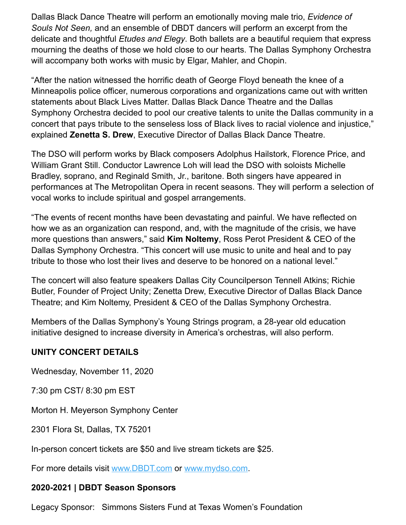Dallas Black Dance Theatre will perform an emotionally moving male trio, *Evidence of Souls Not Seen,* and an ensemble of DBDT dancers will perform an excerpt from the delicate and thoughtful *Etudes and Elegy*. Both ballets are a beautiful requiem that express mourning the deaths of those we hold close to our hearts. The Dallas Symphony Orchestra will accompany both works with music by Elgar, Mahler, and Chopin.

"After the nation witnessed the horrific death of George Floyd beneath the knee of a Minneapolis police officer, numerous corporations and organizations came out with written statements about Black Lives Matter. Dallas Black Dance Theatre and the Dallas Symphony Orchestra decided to pool our creative talents to unite the Dallas community in a concert that pays tribute to the senseless loss of Black lives to racial violence and injustice," explained **Zenetta S. Drew**, Executive Director of Dallas Black Dance Theatre.

The DSO will perform works by Black composers Adolphus Hailstork, Florence Price, and William Grant Still. Conductor Lawrence Loh will lead the DSO with soloists Michelle Bradley, soprano, and Reginald Smith, Jr., baritone. Both singers have appeared in performances at The Metropolitan Opera in recent seasons. They will perform a selection of vocal works to include spiritual and gospel arrangements.

"The events of recent months have been devastating and painful. We have reflected on how we as an organization can respond, and, with the magnitude of the crisis, we have more questions than answers," said **Kim Noltemy**, Ross Perot President & CEO of the Dallas Symphony Orchestra. "This concert will use music to unite and heal and to pay tribute to those who lost their lives and deserve to be honored on a national level."

The concert will also feature speakers Dallas City Councilperson Tennell Atkins; Richie Butler, Founder of Project Unity; Zenetta Drew, Executive Director of Dallas Black Dance Theatre; and Kim Noltemy, President & CEO of the Dallas Symphony Orchestra.

Members of the Dallas Symphony's Young Strings program, a 28-year old education initiative designed to increase diversity in America's orchestras, will also perform.

## **UNITY CONCERT DETAILS**

Wednesday, November 11, 2020

7:30 pm CST/ 8:30 pm EST

Morton H. Meyerson Symphony Center

2301 Flora St, Dallas, TX 75201

In-person concert tickets are \$50 and live stream tickets are \$25.

For more details visit [www.DBDT.com](http://www.dbdt.com/) or [www.mydso.com.](http://www.mydso.com/)

### **2020-2021 | DBDT Season Sponsors**

Legacy Sponsor: Simmons Sisters Fund at Texas Women's Foundation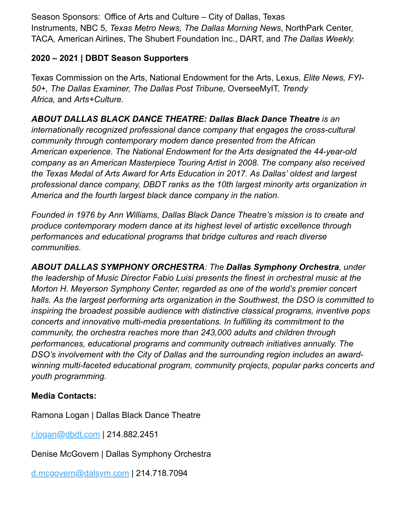Season Sponsors:  Office of Arts and Culture – City of Dallas, Texas Instruments, NBC 5*, Texas Metro News, The Dallas Morning News*, NorthPark Center, TACA*,* American Airlines, The Shubert Foundation Inc., DART, and *The Dallas Weekly.*

# **2020 – 2021 | DBDT Season Supporters**

Texas Commission on the Arts, National Endowment for the Arts, Lexus, *Elite News, FYI-50+, The Dallas Examiner, The Dallas Post Tribune,* OverseeMyIT, *Trendy Africa,* and *Arts+Culture*.

# *ABOUT DALLAS BLACK DANCE THEATRE: Dallas Black Dance Theatre is an*

*internationally recognized professional dance company that engages the cross-cultural community through contemporary modern dance presented from the African American experience. The National Endowment for the Arts designated the 44-year-old company as an American Masterpiece Touring Artist in 2008. The company also received the Texas Medal of Arts Award for Arts Education in 2017. As Dallas' oldest and largest professional dance company, DBDT ranks as the 10th largest minority arts organization in America and the fourth largest black dance company in the nation.*

*Founded in 1976 by Ann Williams, Dallas Black Dance Theatre's mission is to create and produce contemporary modern dance at its highest level of artistic excellence through performances and educational programs that bridge cultures and reach diverse communities.*

*ABOUT DALLAS SYMPHONY ORCHESTRA: The Dallas Symphony Orchestra, under the leadership of Music Director Fabio Luisi presents the finest in orchestral music at the Morton H. Meyerson Symphony Center, regarded as one of the world's premier concert halls. As the largest performing arts organization in the Southwest, the DSO is committed to inspiring the broadest possible audience with distinctive classical programs, inventive pops concerts and innovative multi-media presentations. In fulfilling its commitment to the community, the orchestra reaches more than 243,000 adults and children through performances, educational programs and community outreach initiatives annually. The DSO's involvement with the City of Dallas and the surrounding region includes an awardwinning multi-faceted educational program, community projects, popular parks concerts and youth programming.*

## **Media Contacts:**

Ramona Logan | Dallas Black Dance Theatre

[r.logan@dbdt.com](mailto:r.logan@dbdt.com) | 214.882.2451

Denise McGovern | Dallas Symphony Orchestra

[d.mcgovern@dalsym.com](mailto:d.mcgovern@dalsym.com) | 214.718.7094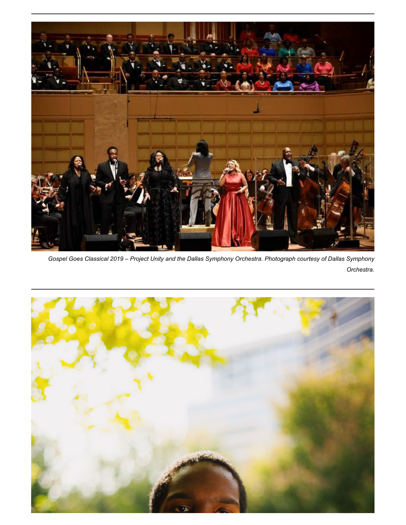

*Gospel Goes Classical 2019 – Project Unity and the Dallas Symphony Orchestra. Photograph courtesy of Dallas Symphony Orchestra.*